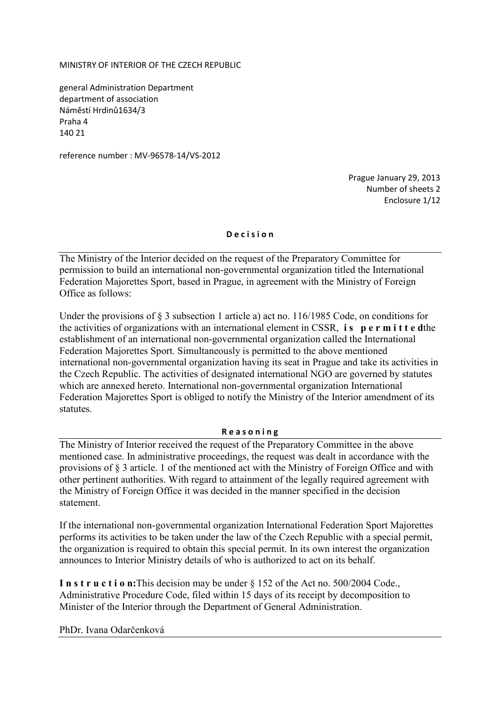MINISTRY OF INTERIOR OF THE CZECH REPUBLIC

general Administration Department department of association Náměstí Hrdinů1634/3 Praha 4 140 21

reference number : MV-96578-14/VS-2012

Prague January 29, 2013 Number of sheets 2 Enclosure 1/12

## **D e c i s i o n**

The Ministry of the Interior decided on the request of the Preparatory Committee for permission to build an international non-governmental organization titled the International Federation Majorettes Sport, based in Prague, in agreement with the Ministry of Foreign Office as follows:

Under the provisions of § 3 subsection 1 article a) act no. 116/1985 Code, on conditions for the activities of organizations with an international element in CSSR, **i s p e r m i t t e d**the establishment of an international non-governmental organization called the International Federation Majorettes Sport. Simultaneously is permitted to the above mentioned international non-governmental organization having its seat in Prague and take its activities in the Czech Republic. The activities of designated international NGO are governed by statutes which are annexed hereto. International non-governmental organization International Federation Majorettes Sport is obliged to notify the Ministry of the Interior amendment of its statutes.

## **R e a s o n i n g**

The Ministry of Interior received the request of the Preparatory Committee in the above mentioned case. In administrative proceedings, the request was dealt in accordance with the provisions of § 3 article. 1 of the mentioned act with the Ministry of Foreign Office and with other pertinent authorities. With regard to attainment of the legally required agreement with the Ministry of Foreign Office it was decided in the manner specified in the decision statement.

If the international non-governmental organization International Federation Sport Majorettes performs its activities to be taken under the law of the Czech Republic with a special permit, the organization is required to obtain this special permit. In its own interest the organization announces to Interior Ministry details of who is authorized to act on its behalf.

**I n s t r u c t i o n:**This decision may be under § 152 of the Act no. 500/2004 Code., Administrative Procedure Code, filed within 15 days of its receipt by decomposition to Minister of the Interior through the Department of General Administration.

PhDr. Ivana Odarčenková